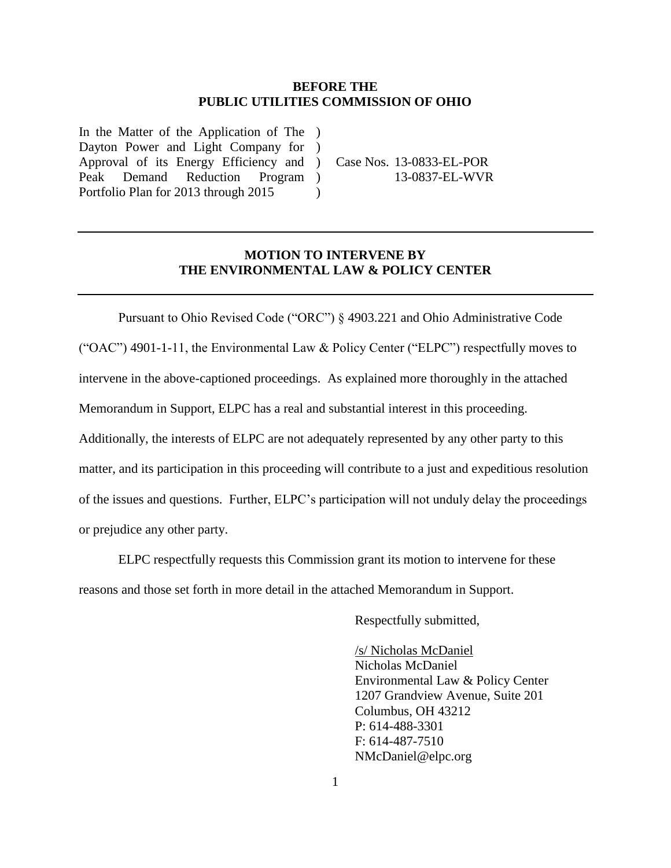#### **BEFORE THE PUBLIC UTILITIES COMMISSION OF OHIO**

In the Matter of the Application of The ) Dayton Power and Light Company for Approval of its Energy Efficiency and ) Peak Demand Reduction Portfolio Plan for 2013 through 2015 ) Program )

Case Nos. 13-0833-EL-POR 13-0837-EL-WVR

### **MOTION TO INTERVENE BY THE ENVIRONMENTAL LAW & POLICY CENTER**

 $\lambda$ 

Pursuant to Ohio Revised Code ("ORC") § 4903.221 and Ohio Administrative Code ("OAC") 4901-1-11, the Environmental Law & Policy Center ("ELPC") respectfully moves to intervene in the above-captioned proceedings. As explained more thoroughly in the attached Memorandum in Support, ELPC has a real and substantial interest in this proceeding. Additionally, the interests of ELPC are not adequately represented by any other party to this matter, and its participation in this proceeding will contribute to a just and expeditious resolution of the issues and questions. Further, ELPC's participation will not unduly delay the proceedings or prejudice any other party.

ELPC respectfully requests this Commission grant its motion to intervene for these reasons and those set forth in more detail in the attached Memorandum in Support.

Respectfully submitted,

/s/ Nicholas McDaniel Nicholas McDaniel Environmental Law & Policy Center 1207 Grandview Avenue, Suite 201 Columbus, OH 43212 P: 614-488-3301 F: 614-487-7510 NMcDaniel@elpc.org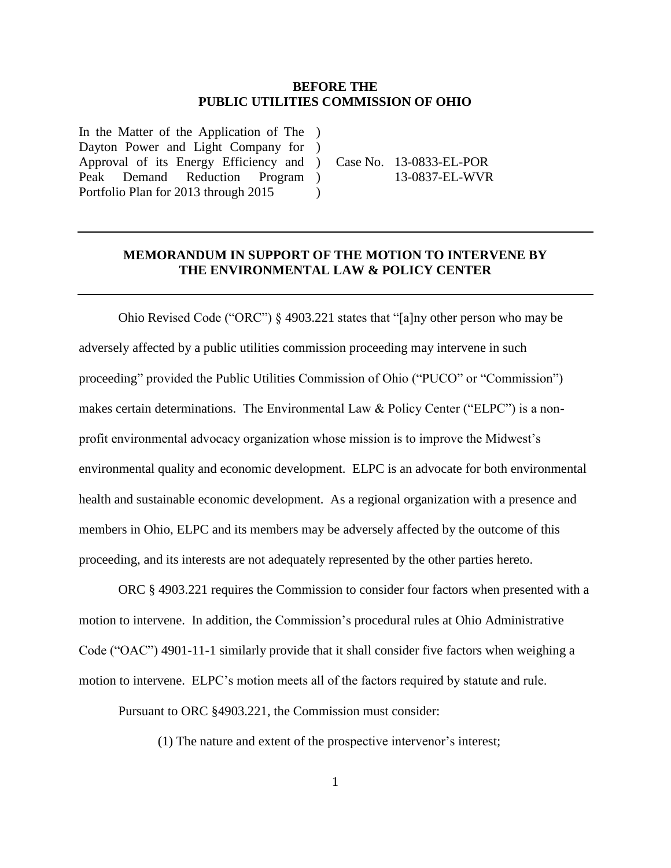#### **BEFORE THE PUBLIC UTILITIES COMMISSION OF OHIO**

In the Matter of the Application of The ) Dayton Power and Light Company for Approval of its Energy Efficiency and ) Peak Demand Reduction Portfolio Plan for 2013 through 2015  $\rightarrow$ Program )

Case No. 13-0833-EL-POR 13-0837-EL-WVR

#### **MEMORANDUM IN SUPPORT OF THE MOTION TO INTERVENE BY THE ENVIRONMENTAL LAW & POLICY CENTER**

 $\lambda$ 

Ohio Revised Code ("ORC") § 4903.221 states that "[a]ny other person who may be adversely affected by a public utilities commission proceeding may intervene in such proceeding" provided the Public Utilities Commission of Ohio ("PUCO" or "Commission") makes certain determinations. The Environmental Law & Policy Center ("ELPC") is a nonprofit environmental advocacy organization whose mission is to improve the Midwest's environmental quality and economic development. ELPC is an advocate for both environmental health and sustainable economic development. As a regional organization with a presence and members in Ohio, ELPC and its members may be adversely affected by the outcome of this proceeding, and its interests are not adequately represented by the other parties hereto.

ORC § 4903.221 requires the Commission to consider four factors when presented with a motion to intervene. In addition, the Commission's procedural rules at Ohio Administrative Code ("OAC") 4901-11-1 similarly provide that it shall consider five factors when weighing a motion to intervene. ELPC's motion meets all of the factors required by statute and rule.

Pursuant to ORC §4903.221, the Commission must consider:

(1) The nature and extent of the prospective intervenor's interest;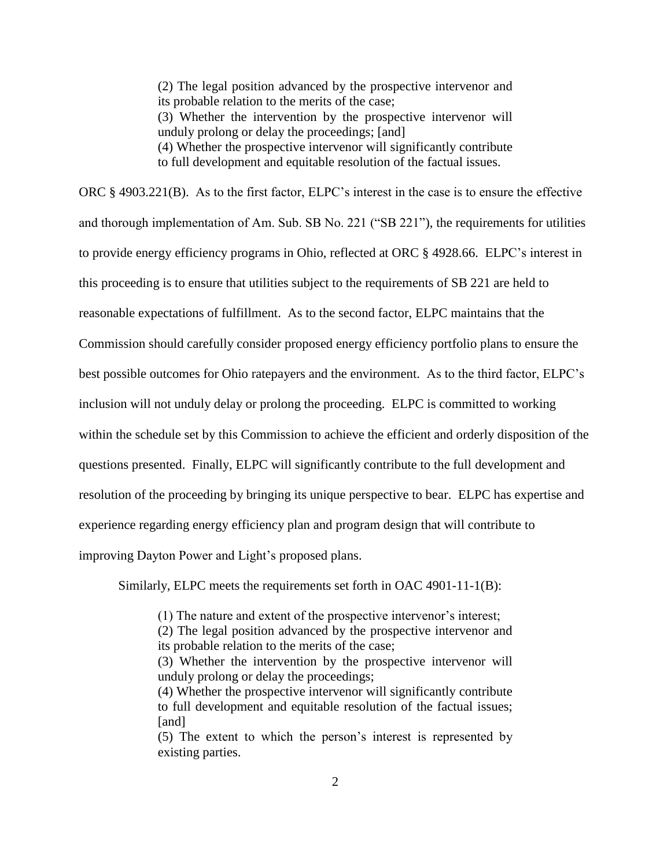(2) The legal position advanced by the prospective intervenor and its probable relation to the merits of the case; (3) Whether the intervention by the prospective intervenor will unduly prolong or delay the proceedings; [and] (4) Whether the prospective intervenor will significantly contribute to full development and equitable resolution of the factual issues.

ORC § 4903.221(B). As to the first factor, ELPC's interest in the case is to ensure the effective and thorough implementation of Am. Sub. SB No. 221 ("SB 221"), the requirements for utilities to provide energy efficiency programs in Ohio, reflected at ORC § 4928.66. ELPC's interest in this proceeding is to ensure that utilities subject to the requirements of SB 221 are held to reasonable expectations of fulfillment. As to the second factor, ELPC maintains that the Commission should carefully consider proposed energy efficiency portfolio plans to ensure the best possible outcomes for Ohio ratepayers and the environment. As to the third factor, ELPC's inclusion will not unduly delay or prolong the proceeding. ELPC is committed to working within the schedule set by this Commission to achieve the efficient and orderly disposition of the questions presented. Finally, ELPC will significantly contribute to the full development and resolution of the proceeding by bringing its unique perspective to bear. ELPC has expertise and experience regarding energy efficiency plan and program design that will contribute to improving Dayton Power and Light's proposed plans.

Similarly, ELPC meets the requirements set forth in OAC 4901-11-1(B):

(1) The nature and extent of the prospective intervenor's interest;

(2) The legal position advanced by the prospective intervenor and its probable relation to the merits of the case;

(3) Whether the intervention by the prospective intervenor will unduly prolong or delay the proceedings;

(4) Whether the prospective intervenor will significantly contribute to full development and equitable resolution of the factual issues; [and]

(5) The extent to which the person's interest is represented by existing parties.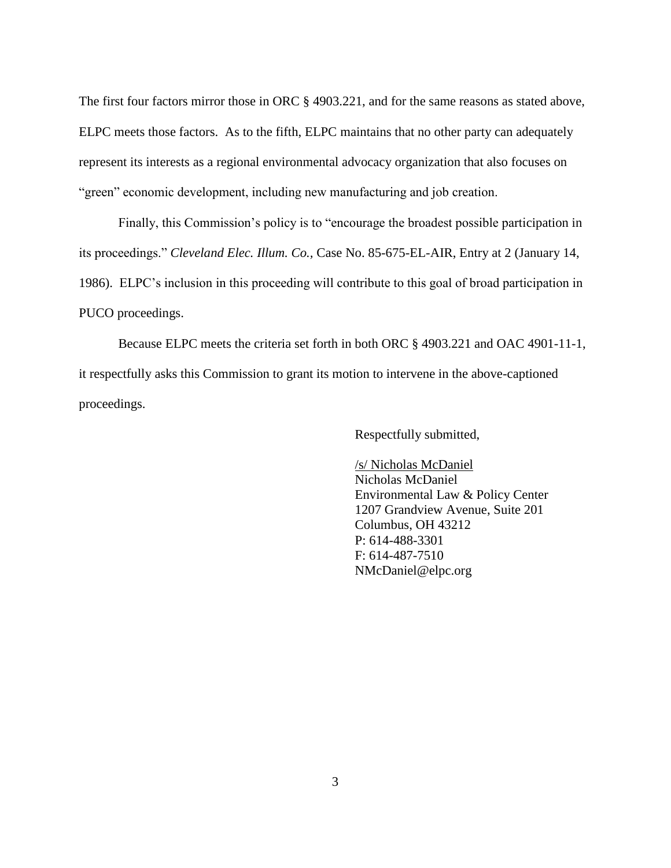The first four factors mirror those in ORC § 4903.221, and for the same reasons as stated above, ELPC meets those factors. As to the fifth, ELPC maintains that no other party can adequately represent its interests as a regional environmental advocacy organization that also focuses on "green" economic development, including new manufacturing and job creation.

Finally, this Commission's policy is to "encourage the broadest possible participation in its proceedings." *Cleveland Elec. Illum. Co.,* Case No. 85-675-EL-AIR, Entry at 2 (January 14, 1986). ELPC's inclusion in this proceeding will contribute to this goal of broad participation in PUCO proceedings.

Because ELPC meets the criteria set forth in both ORC § 4903.221 and OAC 4901-11-1, it respectfully asks this Commission to grant its motion to intervene in the above-captioned proceedings.

Respectfully submitted,

/s/ Nicholas McDaniel Nicholas McDaniel Environmental Law & Policy Center 1207 Grandview Avenue, Suite 201 Columbus, OH 43212 P: 614-488-3301 F: 614-487-7510 NMcDaniel@elpc.org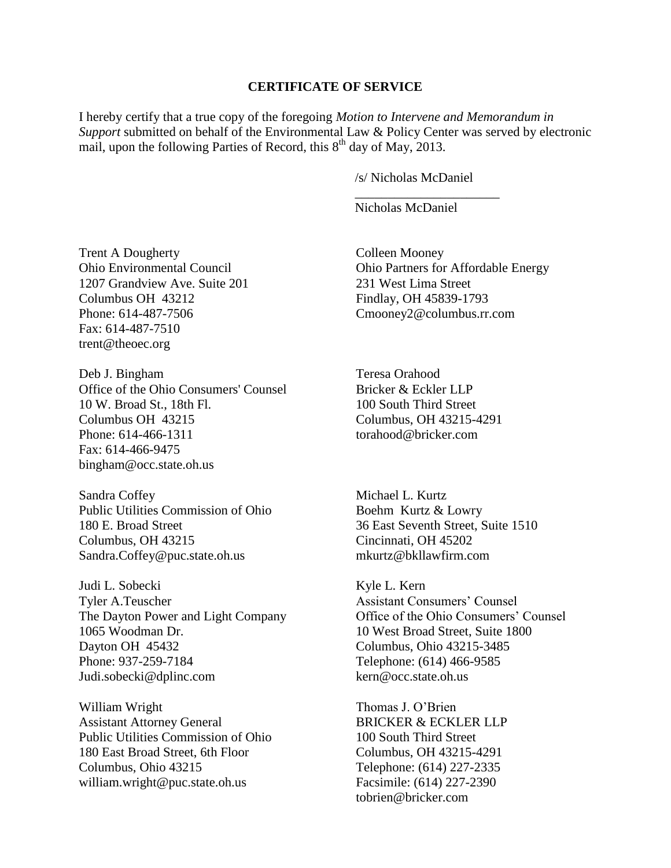#### **CERTIFICATE OF SERVICE**

I hereby certify that a true copy of the foregoing *Motion to Intervene and Memorandum in Support* submitted on behalf of the Environmental Law & Policy Center was served by electronic mail, upon the following Parties of Record, this  $8<sup>th</sup>$  day of May, 2013.

/s/ Nicholas McDaniel

\_\_\_\_\_\_\_\_\_\_\_\_\_\_\_\_\_\_\_\_\_\_

Nicholas McDaniel

Trent A Dougherty Ohio Environmental Council 1207 Grandview Ave. Suite 201 Columbus OH 43212 Phone: 614-487-7506 Fax: 614-487-7510 [trent@theoec.org](mailto:trent@theoec.org)

Deb J. Bingham Office of the Ohio Consumers' Counsel 10 W. Broad St., 18th Fl. Columbus OH 43215 Phone: 614-466-1311 Fax: 614-466-9475 [bingham@occ.state.oh.us](mailto:bingham@occ.state.oh.us)

Sandra Coffey Public Utilities Commission of Ohio 180 E. Broad Street Columbus, OH 43215 [Sandra.Coffey@puc.state.oh.us](mailto:Sandra.Coffey@puc.state.oh.us)

Judi L. Sobecki Tyler A.Teuscher The Dayton Power and Light Company 1065 Woodman Dr. Dayton OH 45432 Phone: 937-259-7184 [Judi.sobecki@dplinc.com](mailto:Judi.sobecki@dplinc.com)

William Wright Assistant Attorney General Public Utilities Commission of Ohio 180 East Broad Street, 6th Floor Columbus, Ohio 43215 william.wright@puc.state.oh.us

Colleen Mooney Ohio Partners for Affordable Energy 231 West Lima Street Findlay, OH 45839-1793 [Cmooney2@columbus.rr.com](mailto:Cmooney2@columbus.rr.com)

Teresa Orahood Bricker & Eckler LLP 100 South Third Street Columbus, OH 43215-4291 [torahood@bricker.com](mailto:torahood@bricker.com)

Michael L. Kurtz Boehm Kurtz & Lowry 36 East Seventh Street, Suite 1510 Cincinnati, OH 45202 [mkurtz@bkllawfirm.com](mailto:mkurtz@bkllawfirm.com)

Kyle L. Kern Assistant Consumers' Counsel Office of the Ohio Consumers' Counsel 10 West Broad Street, Suite 1800 Columbus, Ohio 43215-3485 Telephone: (614) 466-9585 kern@occ.state.oh.us

Thomas J. O'Brien BRICKER & ECKLER LLP 100 South Third Street Columbus, OH 43215-4291 Telephone: (614) 227-2335 Facsimile: (614) 227-2390 tobrien@bricker.com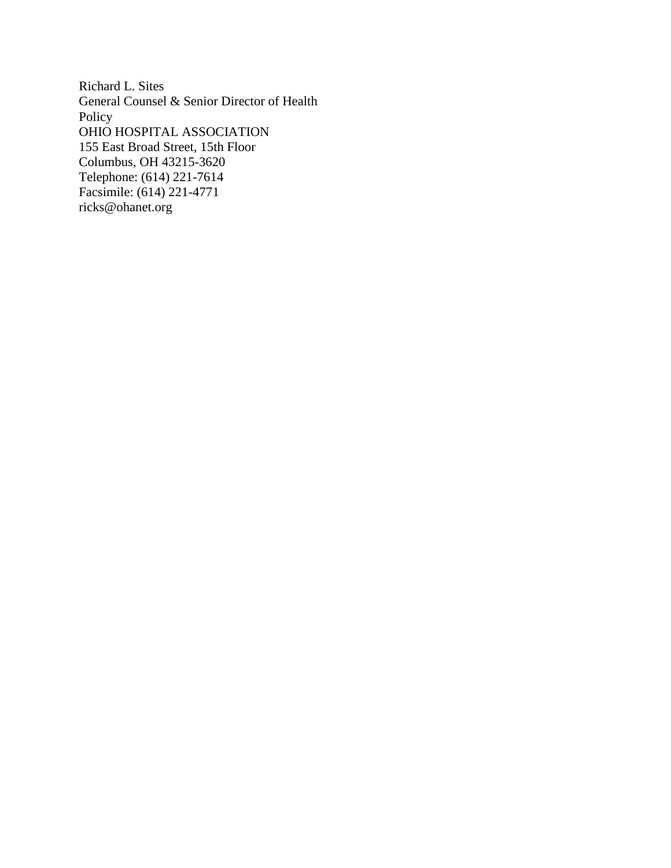Richard L. Sites General Counsel & Senior Director of Health Policy OHIO HOSPITAL ASSOCIATION 155 East Broad Street, 15th Floor Columbus, OH 43215-3620 Telephone: (614) 221-7614 Facsimile: (614) 221-4771 ricks@ohanet.org